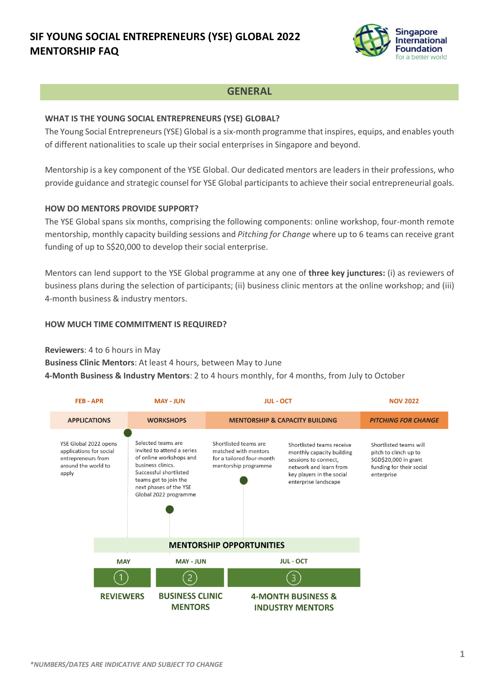# **SIF YOUNG SOCIAL ENTREPRENEURS (YSE) GLOBAL 2022 MENTORSHIP FAQ**



### **GENERAL**

#### **WHAT IS THE YOUNG SOCIAL ENTREPRENEURS (YSE) GLOBAL?**

The Young Social Entrepreneurs (YSE) Global is a six-month programme that inspires, equips, and enables youth of different nationalities to scale up their social enterprises in Singapore and beyond.

Mentorship is a key component of the YSE Global. Our dedicated mentors are leaders in their professions, who provide guidance and strategic counsel for YSE Global participants to achieve their social entrepreneurial goals.

### **HOW DO MENTORS PROVIDE SUPPORT?**

The YSE Global spans six months, comprising the following components: online workshop, four-month remote mentorship, monthly capacity building sessions and *Pitching for Change* where up to 6 teams can receive grant funding of up to S\$20,000 to develop their social enterprise.

Mentors can lend support to the YSE Global programme at any one of **three key junctures:** (i) as reviewers of business plans during the selection of participants; (ii) business clinic mentors at the online workshop; and (iii) 4-month business & industry mentors.

### **HOW MUCH TIME COMMITMENT IS REQUIRED?**

### **Reviewers**: 4 to 6 hours in May

**Business Clinic Mentors**: At least 4 hours, between May to June **4-Month Business & Industry Mentors**: 2 to 4 hours monthly, for 4 months, from July to October

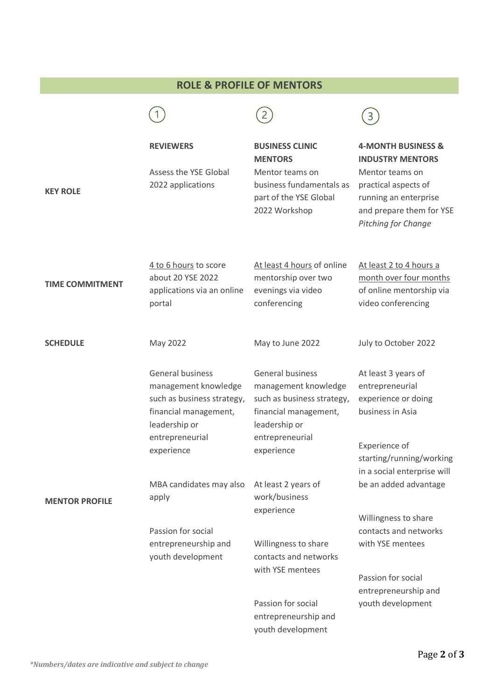## **ROLE & PROFILE OF MENTORS**

| <b>KEY ROLE</b>        | <b>REVIEWERS</b><br>Assess the YSE Global<br>2022 applications                                                                                    | <b>BUSINESS CLINIC</b><br><b>MENTORS</b><br>Mentor teams on<br>business fundamentals as<br>part of the YSE Global<br>2022 Workshop                       | <b>4-MONTH BUSINESS &amp;</b><br><b>INDUSTRY MENTORS</b><br>Mentor teams on<br>practical aspects of<br>running an enterprise<br>and prepare them for YSE<br>Pitching for Change |
|------------------------|---------------------------------------------------------------------------------------------------------------------------------------------------|----------------------------------------------------------------------------------------------------------------------------------------------------------|---------------------------------------------------------------------------------------------------------------------------------------------------------------------------------|
| <b>TIME COMMITMENT</b> | 4 to 6 hours to score<br>about 20 YSE 2022<br>applications via an online<br>portal                                                                | At least 4 hours of online<br>mentorship over two<br>evenings via video<br>conferencing                                                                  | At least 2 to 4 hours a<br>month over four months<br>of online mentorship via<br>video conferencing                                                                             |
| <b>SCHEDULE</b>        | May 2022                                                                                                                                          | May to June 2022                                                                                                                                         | July to October 2022                                                                                                                                                            |
|                        | General business<br>management knowledge<br>such as business strategy,<br>financial management,<br>leadership or<br>entrepreneurial<br>experience | <b>General business</b><br>management knowledge<br>such as business strategy,<br>financial management,<br>leadership or<br>entrepreneurial<br>experience | At least 3 years of<br>entrepreneurial<br>experience or doing<br>business in Asia<br>Experience of<br>starting/running/working<br>in a social enterprise will                   |
| <b>MENTOR PROFILE</b>  | MBA candidates may also<br>apply                                                                                                                  | At least 2 years of<br>work/business<br>experience                                                                                                       | be an added advantage<br>Willingness to share                                                                                                                                   |
|                        | Passion for social<br>entrepreneurship and<br>youth development                                                                                   | Willingness to share<br>contacts and networks<br>with YSE mentees                                                                                        | contacts and networks<br>with YSE mentees                                                                                                                                       |
|                        |                                                                                                                                                   | Passion for social<br>entrepreneurship and                                                                                                               | Passion for social<br>entrepreneurship and<br>youth development                                                                                                                 |
|                        |                                                                                                                                                   | youth development                                                                                                                                        |                                                                                                                                                                                 |